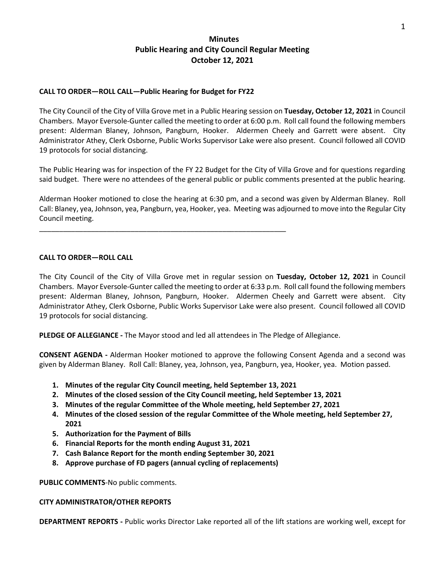# **Minutes Public Hearing and City Council Regular Meeting October 12, 2021**

### **CALL TO ORDER—ROLL CALL—Public Hearing for Budget for FY22**

\_\_\_\_\_\_\_\_\_\_\_\_\_\_\_\_\_\_\_\_\_\_\_\_\_\_\_\_\_\_\_\_\_\_\_\_\_\_\_\_\_\_\_\_\_\_\_\_\_\_\_\_\_\_\_\_\_\_\_\_\_\_

The City Council of the City of Villa Grove met in a Public Hearing session on **Tuesday, October 12, 2021** in Council Chambers. Mayor Eversole-Gunter called the meeting to order at 6:00 p.m. Roll call found the following members present: Alderman Blaney, Johnson, Pangburn, Hooker. Aldermen Cheely and Garrett were absent. City Administrator Athey, Clerk Osborne, Public Works Supervisor Lake were also present. Council followed all COVID 19 protocols for social distancing.

The Public Hearing was for inspection of the FY 22 Budget for the City of Villa Grove and for questions regarding said budget. There were no attendees of the general public or public comments presented at the public hearing.

Alderman Hooker motioned to close the hearing at 6:30 pm, and a second was given by Alderman Blaney. Roll Call: Blaney, yea, Johnson, yea, Pangburn, yea, Hooker, yea. Meeting was adjourned to move into the Regular City Council meeting.

#### **CALL TO ORDER—ROLL CALL**

The City Council of the City of Villa Grove met in regular session on **Tuesday, October 12, 2021** in Council Chambers. Mayor Eversole-Gunter called the meeting to order at 6:33 p.m. Roll call found the following members present: Alderman Blaney, Johnson, Pangburn, Hooker. Aldermen Cheely and Garrett were absent. City Administrator Athey, Clerk Osborne, Public Works Supervisor Lake were also present. Council followed all COVID 19 protocols for social distancing.

**PLEDGE OF ALLEGIANCE -** The Mayor stood and led all attendees in The Pledge of Allegiance.

**CONSENT AGENDA -** Alderman Hooker motioned to approve the following Consent Agenda and a second was given by Alderman Blaney. Roll Call: Blaney, yea, Johnson, yea, Pangburn, yea, Hooker, yea. Motion passed.

- **1. Minutes of the regular City Council meeting, held September 13, 2021**
- **2. Minutes of the closed session of the City Council meeting, held September 13, 2021**
- **3. Minutes of the regular Committee of the Whole meeting, held September 27, 2021**
- **4. Minutes of the closed session of the regular Committee of the Whole meeting, held September 27, 2021**
- **5. Authorization for the Payment of Bills**
- **6. Financial Reports for the month ending August 31, 2021**
- **7. Cash Balance Report for the month ending September 30, 2021**
- **8. Approve purchase of FD pagers (annual cycling of replacements)**

**PUBLIC COMMENTS**-No public comments.

#### **CITY ADMINISTRATOR/OTHER REPORTS**

**DEPARTMENT REPORTS -** Public works Director Lake reported all of the lift stations are working well, except for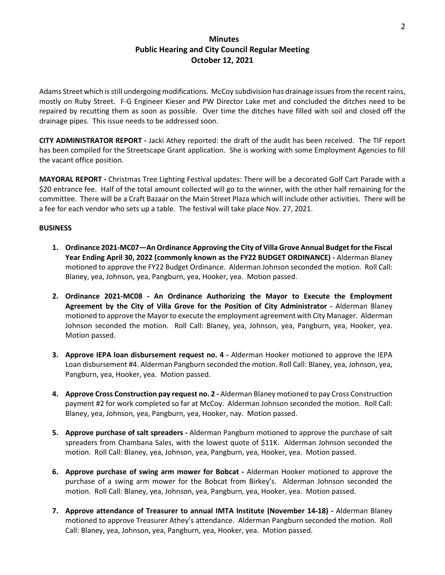### **Minutes Public Hearing and City Council Regular Meeting October 12, 2021**

Adams Street which is still undergoing modifications. McCoy subdivision has drainage issues from the recent rains, mostly on Ruby Street. F-G Engineer Kieser and PW Director Lake met and concluded the ditches need to be repaired by recutting them as soon as possible. Over time the ditches have filled with soil and closed off the drainage pipes. This issue needs to be addressed soon.

**CITY ADMINISTRATOR REPORT -** Jacki Athey reported: the draft of the audit has been received. The TIF report has been compiled for the Streetscape Grant application. She is working with some Employment Agencies to fill the vacant office position.

**MAYORAL REPORT -** Christmas Tree Lighting Festival updates: There will be a decorated Golf Cart Parade with a \$20 entrance fee. Half of the total amount collected will go to the winner, with the other half remaining for the committee. There will be a Craft Bazaar on the Main Street Plaza which will include other activities. There will be a fee for each vendor who sets up a table. The festival will take place Nov. 27, 2021.

#### **BUSINESS**

- **1. Ordinance 2021-MC07—An Ordinance Approving the City of Villa Grove Annual Budget for the Fiscal Year Ending April 30, 2022 (commonly known as the FY22 BUDGET ORDINANCE) -** Alderman Blaney motioned to approve the FY22 Budget Ordinance. Alderman Johnson seconded the motion. Roll Call: Blaney, yea, Johnson, yea, Pangburn, yea, Hooker, yea. Motion passed.
- **2. Ordinance 2021-MC08 - An Ordinance Authorizing the Mayor to Execute the Employment Agreement by the City of Villa Grove for the Position of City Administrator -** Alderman Blaney motioned to approve the Mayor to execute the employment agreement with City Manager. Alderman Johnson seconded the motion. Roll Call: Blaney, yea, Johnson, yea, Pangburn, yea, Hooker, yea. Motion passed.
- **3. Approve IEPA loan disbursement request no. 4 -** Alderman Hooker motioned to approve the IEPA Loan disbursement #4. Alderman Pangburn seconded the motion. Roll Call: Blaney, yea, Johnson, yea, Pangburn, yea, Hooker, yea. Motion passed.
- **4. Approve Cross Construction pay request no. 2 -** Alderman Blaney motioned to pay Cross Construction payment #2 for work completed so far at McCoy. Alderman Johnson seconded the motion. Roll Call: Blaney, yea, Johnson, yea, Pangburn, yea, Hooker, nay. Motion passed.
- **5. Approve purchase of salt spreaders -** Alderman Pangburn motioned to approve the purchase of salt spreaders from Chambana Sales, with the lowest quote of \$11K. Alderman Johnson seconded the motion. Roll Call: Blaney, yea, Johnson, yea, Pangburn, yea, Hooker, yea. Motion passed.
- **6. Approve purchase of swing arm mower for Bobcat -** Alderman Hooker motioned to approve the purchase of a swing arm mower for the Bobcat from Birkey's. Alderman Johnson seconded the motion. Roll Call: Blaney, yea, Johnson, yea, Pangburn, yea, Hooker, yea. Motion passed.
- **7. Approve attendance of Treasurer to annual IMTA Institute (November 14-18) -** Alderman Blaney motioned to approve Treasurer Athey's attendance. Alderman Pangburn seconded the motion. Roll Call: Blaney, yea, Johnson, yea, Pangburn, yea, Hooker, yea. Motion passed.